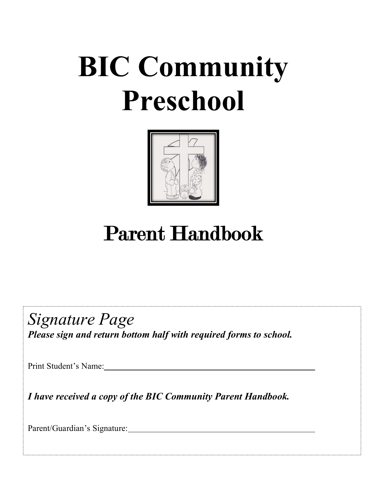# **BIC Community Preschool**



# Parent Handbook

*Signature Page Please sign and return bottom half with required forms to school.*

Print Student's Name:

*I have received a copy of the BIC Community Parent Handbook.*

Parent/Guardian's Signature: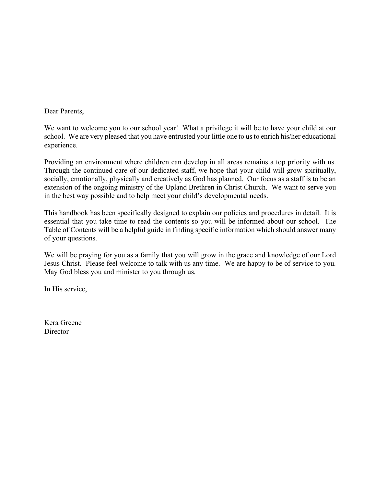Dear Parents,

We want to welcome you to our school year! What a privilege it will be to have your child at our school. We are very pleased that you have entrusted your little one to us to enrich his/her educational experience.

Providing an environment where children can develop in all areas remains a top priority with us. Through the continued care of our dedicated staff, we hope that your child will grow spiritually, socially, emotionally, physically and creatively as God has planned. Our focus as a staff is to be an extension of the ongoing ministry of the Upland Brethren in Christ Church. We want to serve you in the best way possible and to help meet your child's developmental needs.

This handbook has been specifically designed to explain our policies and procedures in detail. It is essential that you take time to read the contents so you will be informed about our school. The Table of Contents will be a helpful guide in finding specific information which should answer many of your questions.

We will be praying for you as a family that you will grow in the grace and knowledge of our Lord Jesus Christ. Please feel welcome to talk with us any time. We are happy to be of service to you. May God bless you and minister to you through us.

In His service,

Kera Greene **Director**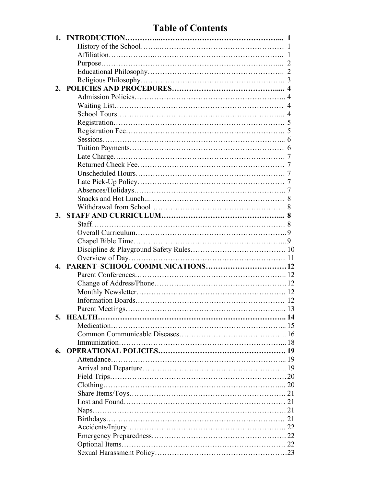# **Table of Contents**

| 2. |                                   |    |
|----|-----------------------------------|----|
|    |                                   |    |
|    |                                   |    |
|    |                                   |    |
|    |                                   |    |
|    |                                   |    |
|    |                                   |    |
|    |                                   |    |
|    |                                   |    |
|    |                                   |    |
|    |                                   |    |
|    |                                   |    |
|    |                                   |    |
|    |                                   |    |
|    |                                   |    |
| 3. |                                   |    |
|    |                                   |    |
|    |                                   |    |
|    |                                   |    |
|    |                                   |    |
|    |                                   |    |
|    | 4. PARENT-SCHOOL COMMUNICATIONS12 |    |
|    |                                   |    |
|    |                                   |    |
|    |                                   |    |
|    |                                   |    |
|    | Parent Meetings                   | 13 |
|    |                                   |    |
|    |                                   |    |
|    |                                   |    |
|    |                                   |    |
| 6. |                                   |    |
|    |                                   |    |
|    |                                   |    |
|    |                                   |    |
|    |                                   |    |
|    |                                   |    |
|    |                                   |    |
|    |                                   |    |
|    |                                   |    |
|    |                                   |    |
|    |                                   |    |
|    |                                   |    |
|    |                                   |    |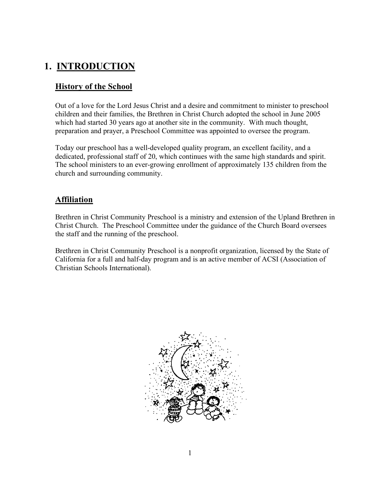# **1. INTRODUCTION**

# **History of the School**

Out of a love for the Lord Jesus Christ and a desire and commitment to minister to preschool children and their families, the Brethren in Christ Church adopted the school in June 2005 which had started 30 years ago at another site in the community. With much thought, preparation and prayer, a Preschool Committee was appointed to oversee the program.

Today our preschool has a well-developed quality program, an excellent facility, and a dedicated, professional staff of 20, which continues with the same high standards and spirit. The school ministers to an ever-growing enrollment of approximately 135 children from the church and surrounding community.

# **Affiliation**

Brethren in Christ Community Preschool is a ministry and extension of the Upland Brethren in Christ Church. The Preschool Committee under the guidance of the Church Board oversees the staff and the running of the preschool.

Brethren in Christ Community Preschool is a nonprofit organization, licensed by the State of California for a full and half-day program and is an active member of ACSI (Association of Christian Schools International).

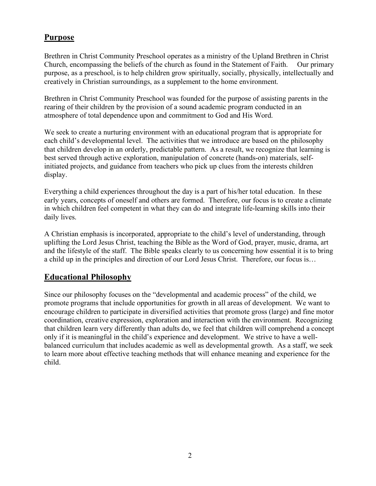# **Purpose**

Brethren in Christ Community Preschool operates as a ministry of the Upland Brethren in Christ Church, encompassing the beliefs of the church as found in the Statement of Faith. Our primary purpose, as a preschool, is to help children grow spiritually, socially, physically, intellectually and creatively in Christian surroundings, as a supplement to the home environment.

Brethren in Christ Community Preschool was founded for the purpose of assisting parents in the rearing of their children by the provision of a sound academic program conducted in an atmosphere of total dependence upon and commitment to God and His Word.

We seek to create a nurturing environment with an educational program that is appropriate for each child's developmental level. The activities that we introduce are based on the philosophy that children develop in an orderly, predictable pattern. As a result, we recognize that learning is best served through active exploration, manipulation of concrete (hands-on) materials, selfinitiated projects, and guidance from teachers who pick up clues from the interests children display.

Everything a child experiences throughout the day is a part of his/her total education. In these early years, concepts of oneself and others are formed. Therefore, our focus is to create a climate in which children feel competent in what they can do and integrate life-learning skills into their daily lives.

A Christian emphasis is incorporated, appropriate to the child's level of understanding, through uplifting the Lord Jesus Christ, teaching the Bible as the Word of God, prayer, music, drama, art and the lifestyle of the staff. The Bible speaks clearly to us concerning how essential it is to bring a child up in the principles and direction of our Lord Jesus Christ. Therefore, our focus is…

# **Educational Philosophy**

Since our philosophy focuses on the "developmental and academic process" of the child, we promote programs that include opportunities for growth in all areas of development. We want to encourage children to participate in diversified activities that promote gross (large) and fine motor coordination, creative expression, exploration and interaction with the environment. Recognizing that children learn very differently than adults do, we feel that children will comprehend a concept only if it is meaningful in the child's experience and development. We strive to have a wellbalanced curriculum that includes academic as well as developmental growth. As a staff, we seek to learn more about effective teaching methods that will enhance meaning and experience for the child.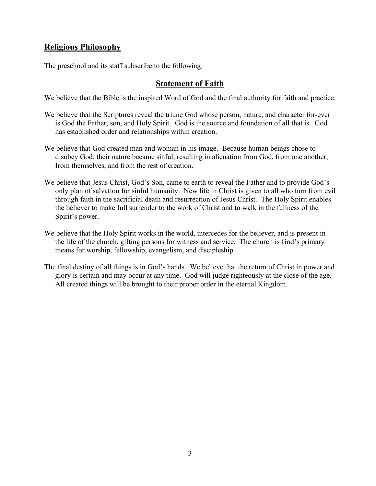# **Religious Philosophy**

The preschool and its staff subscribe to the following:

# **Statement of Faith**

We believe that the Bible is the inspired Word of God and the final authority for faith and practice.

- We believe that the Scriptures reveal the triune God whose person, nature, and character for-ever is God the Father, son, and Holy Spirit. God is the source and foundation of all that is. God has established order and relationships within creation.
- We believe that God created man and woman in his image. Because human beings chose to disobey God, their nature became sinful, resulting in alienation from God, from one another, from themselves, and from the rest of creation.
- We believe that Jesus Christ, God's Son, came to earth to reveal the Father and to provide God's only plan of salvation for sinful humanity. New life in Christ is given to all who turn from evil through faith in the sacrificial death and resurrection of Jesus Christ. The Holy Spirit enables the believer to make full surrender to the work of Christ and to walk in the fullness of the Spirit's power.
- We believe that the Holy Spirit works in the world, intercedes for the believer, and is present in the life of the church, gifting persons for witness and service. The church is God's primary means for worship, fellowship, evangelism, and discipleship.
- The final destiny of all things is in God's hands. We believe that the return of Christ in power and glory is certain and may occur at any time. God will judge righteously at the close of the age. All created things will be brought to their proper order in the eternal Kingdom.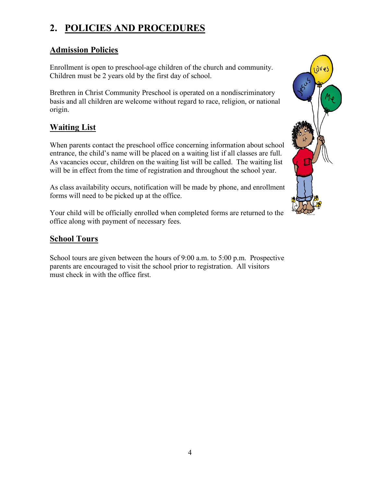# **2. POLICIES AND PROCEDURES**

# **Admission Policies**

Enrollment is open to preschool-age children of the church and community. Children must be 2 years old by the first day of school.

Brethren in Christ Community Preschool is operated on a nondiscriminatory basis and all children are welcome without regard to race, religion, or national origin.

# **Waiting List**

When parents contact the preschool office concerning information about school entrance, the child's name will be placed on a waiting list if all classes are full. As vacancies occur, children on the waiting list will be called. The waiting list will be in effect from the time of registration and throughout the school year.

As class availability occurs, notification will be made by phone, and enrollment forms will need to be picked up at the office.

Your child will be officially enrolled when completed forms are returned to the office along with payment of necessary fees.

# **School Tours**

School tours are given between the hours of 9:00 a.m. to 5:00 p.m. Prospective parents are encouraged to visit the school prior to registration. All visitors must check in with the office first.

![](_page_6_Picture_10.jpeg)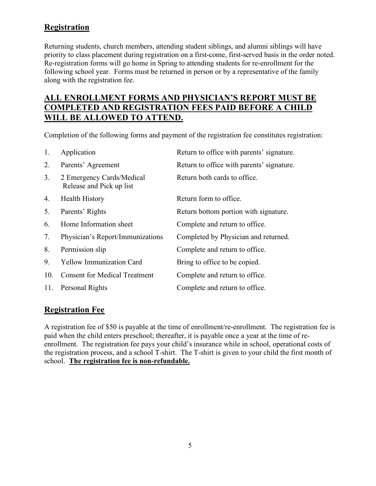# **Registration**

Returning students, church members, attending student siblings, and alumni siblings will have priority to class placement during registration on a first-come, first-served basis in the order noted. Re-registration forms will go home in Spring to attending students for re-enrollment for the following school year. Forms must be returned in person or by a representative of the family along with the registration fee.

# **ALL ENROLLMENT FORMS AND PHYSICIAN'S REPORT MUST BE COMPLETED AND REGISTRATION FEES PAID BEFORE A CHILD WILL BE ALLOWED TO ATTEND.**

Completion of the following forms and payment of the registration fee constitutes registration:

| 1.  | Application                                           | Return to office with parents' signature. |
|-----|-------------------------------------------------------|-------------------------------------------|
| 2.  | Parents' Agreement                                    | Return to office with parents' signature. |
| 3.  | 2 Emergency Cards/Medical<br>Release and Pick up list | Return both cards to office.              |
| 4.  | <b>Health History</b>                                 | Return form to office.                    |
| 5.  | Parents' Rights                                       | Return bottom portion with signature.     |
| 6.  | Home Information sheet                                | Complete and return to office.            |
| 7.  | Physician's Report/Immunizations                      | Completed by Physician and returned.      |
| 8.  | Permission slip                                       | Complete and return to office.            |
| 9.  | <b>Yellow Immunization Card</b>                       | Bring to office to be copied.             |
| 10. | <b>Consent for Medical Treatment</b>                  | Complete and return to office.            |
| 11. | Personal Rights                                       | Complete and return to office.            |

# **Registration Fee**

A registration fee of \$50 is payable at the time of enrollment/re-enrollment. The registration fee is paid when the child enters preschool; thereafter, it is payable once a year at the time of reenrollment. The registration fee pays your child's insurance while in school, operational costs of the registration process, and a school T-shirt. The T-shirt is given to your child the first month of school. **The registration fee is non-refundable.**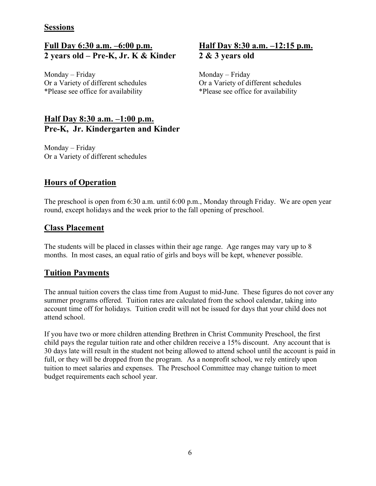### **Sessions**

# **Full Day 6:30 a.m. –6:00 p.m. Half Day 8:30 a.m. –12:15 p.m. 2 years old – Pre-K, Jr. K & Kinder 2 & 3 years old**

Monday – Friday Monday – Friday \*Please see office for availability \*Please see office for availability

## **Half Day 8:30 a.m. –1:00 p.m. Pre-K, Jr. Kindergarten and Kinder**

Monday – Friday Or a Variety of different schedules

Or a Variety of different schedules Or a Variety of different schedules

# **Hours of Operation**

The preschool is open from 6:30 a.m. until 6:00 p.m., Monday through Friday. We are open year round, except holidays and the week prior to the fall opening of preschool.

## **Class Placement**

The students will be placed in classes within their age range. Age ranges may vary up to 8 months. In most cases, an equal ratio of girls and boys will be kept, whenever possible.

## **Tuition Payments**

The annual tuition covers the class time from August to mid-June. These figures do not cover any summer programs offered. Tuition rates are calculated from the school calendar, taking into account time off for holidays. Tuition credit will not be issued for days that your child does not attend school.

If you have two or more children attending Brethren in Christ Community Preschool, the first child pays the regular tuition rate and other children receive a 15% discount. Any account that is 30 days late will result in the student not being allowed to attend school until the account is paid in full, or they will be dropped from the program.As a nonprofit school, we rely entirely upon tuition to meet salaries and expenses. The Preschool Committee may change tuition to meet budget requirements each school year.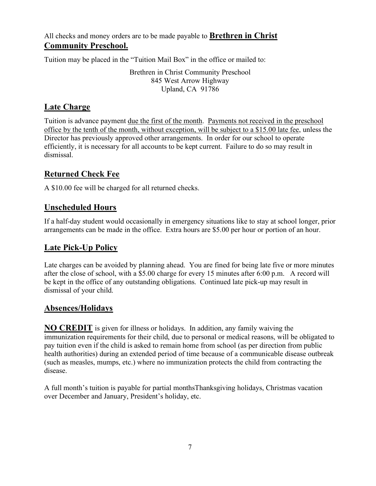All checks and money orders are to be made payable to **Brethren in Christ Community Preschool.**

Tuition may be placed in the "Tuition Mail Box" in the office or mailed to:

Brethren in Christ Community Preschool 845 West Arrow Highway Upland, CA 91786

## **Late Charge**

Tuition is advance payment due the first of the month. Payments not received in the preschool office by the tenth of the month, without exception, will be subject to a \$15.00 late fee, unless the Director has previously approved other arrangements. In order for our school to operate efficiently, it is necessary for all accounts to be kept current. Failure to do so may result in dismissal.

# **Returned Check Fee**

A \$10.00 fee will be charged for all returned checks.

# **Unscheduled Hours**

If a half-day student would occasionally in emergency situations like to stay at school longer, prior arrangements can be made in the office. Extra hours are \$5.00 per hour or portion of an hour.

## **Late Pick-Up Policy**

Late charges can be avoided by planning ahead. You are fined for being late five or more minutes after the close of school, with a \$5.00 charge for every 15 minutes after 6:00 p.m. A record will be kept in the office of any outstanding obligations. Continued late pick-up may result in dismissal of your child.

# **Absences/Holidays**

**NO CREDIT** is given for illness or holidays. In addition, any family waiving the immunization requirements for their child, due to personal or medical reasons, will be obligated to pay tuition even if the child is asked to remain home from school (as per direction from public health authorities) during an extended period of time because of a communicable disease outbreak (such as measles, mumps, etc.) where no immunization protects the child from contracting the disease.

A full month's tuition is payable for partial monthsThanksgiving holidays, Christmas vacation over December and January, President's holiday, etc.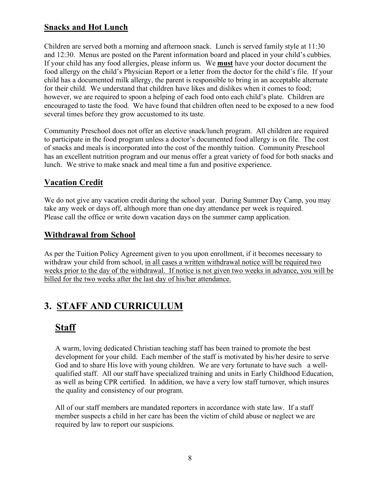# **Snacks and Hot Lunch**

Children are served both a morning and afternoon snack. Lunch is served family style at 11:30 and 12:30. Menus are posted on the Parent information board and placed in your child's cubbies. If your child has any food allergies, please inform us. We **must** have your doctor document the food allergy on the child's Physician Report or a letter from the doctor for the child's file. If your child has a documented milk allergy, the parent is responsible to bring in an acceptable alternate for their child. We understand that children have likes and dislikes when it comes to food; however, we are required to spoon a helping of each food onto each child's plate. Children are encouraged to taste the food. We have found that children often need to be exposed to a new food several times before they grow accustomed to its taste.

Community Preschool does not offer an elective snack/lunch program. All children are required to participate in the food program unless a doctor's documented food allergy is on file. The cost of snacks and meals is incorporated into the cost of the monthly tuition. Community Preschool has an excellent nutrition program and our menus offer a great variety of food for both snacks and lunch. We strive to make snack and meal time a fun and positive experience.

# **Vacation Credit**

We do not give any vacation credit during the school year. During Summer Day Camp, you may take any week or days off, although more than one day attendance per week is required. Please call the office or write down vacation days on the summer camp application.

# **Withdrawal from School**

As per the Tuition Policy Agreement given to you upon enrollment, if it becomes necessary to withdraw your child from school, in all cases a written withdrawal notice will be required two weeks prior to the day of the withdrawal. If notice is not given two weeks in advance, you will be billed for the two weeks after the last day of his/her attendance.

# **3. STAFF AND CURRICULUM**

# **Staff**

A warm, loving dedicated Christian teaching staff has been trained to promote the best development for your child. Each member of the staff is motivated by his/her desire to serve God and to share His love with young children. We are very fortunate to have such a wellqualified staff. All our staff have specialized training and units in Early Childhood Education, as well as being CPR certified. In addition, we have a very low staff turnover, which insures the quality and consistency of our program.

All of our staff members are mandated reporters in accordance with state law. If a staff member suspects a child in her care has been the victim of child abuse or neglect we are required by law to report our suspicions.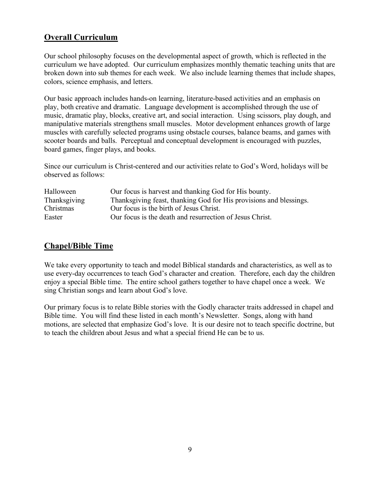# **Overall Curriculum**

Our school philosophy focuses on the developmental aspect of growth, which is reflected in the curriculum we have adopted. Our curriculum emphasizes monthly thematic teaching units that are broken down into sub themes for each week. We also include learning themes that include shapes, colors, science emphasis, and letters.

Our basic approach includes hands-on learning, literature-based activities and an emphasis on play, both creative and dramatic. Language development is accomplished through the use of music, dramatic play, blocks, creative art, and social interaction. Using scissors, play dough, and manipulative materials strengthens small muscles. Motor development enhances growth of large muscles with carefully selected programs using obstacle courses, balance beams, and games with scooter boards and balls. Perceptual and conceptual development is encouraged with puzzles, board games, finger plays, and books.

Since our curriculum is Christ-centered and our activities relate to God's Word, holidays will be observed as follows:

| Halloween           | Our focus is harvest and thanking God for His bounty.              |
|---------------------|--------------------------------------------------------------------|
| <b>Thanksgiving</b> | Thanksgiving feast, thanking God for His provisions and blessings. |
| Christmas           | Our focus is the birth of Jesus Christ.                            |
| Easter              | Our focus is the death and resurrection of Jesus Christ.           |

# **Chapel/Bible Time**

We take every opportunity to teach and model Biblical standards and characteristics, as well as to use every-day occurrences to teach God's character and creation. Therefore, each day the children enjoy a special Bible time. The entire school gathers together to have chapel once a week. We sing Christian songs and learn about God's love.

Our primary focus is to relate Bible stories with the Godly character traits addressed in chapel and Bible time. You will find these listed in each month's Newsletter. Songs, along with hand motions, are selected that emphasize God's love. It is our desire not to teach specific doctrine, but to teach the children about Jesus and what a special friend He can be to us.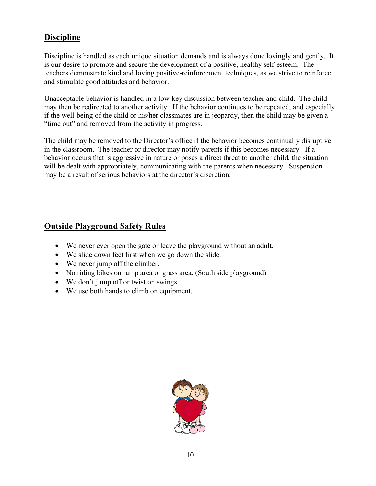# **Discipline**

Discipline is handled as each unique situation demands and is always done lovingly and gently. It is our desire to promote and secure the development of a positive, healthy self-esteem. The teachers demonstrate kind and loving positive-reinforcement techniques, as we strive to reinforce and stimulate good attitudes and behavior.

Unacceptable behavior is handled in a low-key discussion between teacher and child. The child may then be redirected to another activity. If the behavior continues to be repeated, and especially if the well-being of the child or his/her classmates are in jeopardy, then the child may be given a "time out" and removed from the activity in progress.

The child may be removed to the Director's office if the behavior becomes continually disruptive in the classroom. The teacher or director may notify parents if this becomes necessary. If a behavior occurs that is aggressive in nature or poses a direct threat to another child, the situation will be dealt with appropriately, communicating with the parents when necessary. Suspension may be a result of serious behaviors at the director's discretion.

# **Outside Playground Safety Rules**

- We never ever open the gate or leave the playground without an adult.
- We slide down feet first when we go down the slide.
- We never jump off the climber.
- No riding bikes on ramp area or grass area. (South side playground)
- We don't jump off or twist on swings.
- We use both hands to climb on equipment.

![](_page_12_Picture_11.jpeg)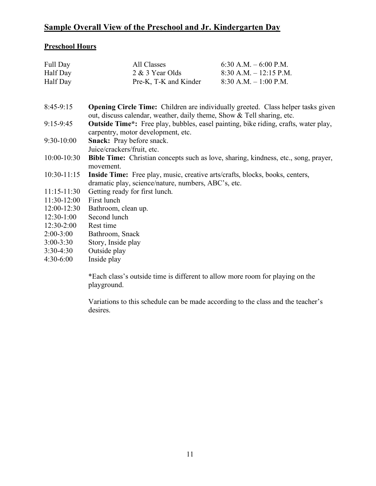# **Sample Overall View of the Preschool and Jr. Kindergarten Day**

## **Preschool Hours**

| Full Day        | All Classes                                                                                                                                                       | 6:30 A.M. $-$ 6:00 P.M.   |
|-----------------|-------------------------------------------------------------------------------------------------------------------------------------------------------------------|---------------------------|
| Half Day        | 2 & 3 Year Olds                                                                                                                                                   | $8:30$ A.M. $-12:15$ P.M. |
| Half Day        | Pre-K, T-K and Kinder                                                                                                                                             | $8:30$ A.M. $-1:00$ P.M.  |
|                 |                                                                                                                                                                   |                           |
| $8:45-9:15$     | <b>Opening Circle Time:</b> Children are individually greeted. Class helper tasks given<br>out, discuss calendar, weather, daily theme, Show & Tell sharing, etc. |                           |
| $9:15-9:45$     | <b>Outside Time*:</b> Free play, bubbles, easel painting, bike riding, crafts, water play,<br>carpentry, motor development, etc.                                  |                           |
| $9:30-10:00$    | <b>Snack:</b> Pray before snack.<br>Juice/crackers/fruit, etc.                                                                                                    |                           |
| $10:00 - 10:30$ | <b>Bible Time:</b> Christian concepts such as love, sharing, kindness, etc., song, prayer,<br>movement.                                                           |                           |
| $10:30-11:15$   | Inside Time: Free play, music, creative arts/crafts, blocks, books, centers,<br>dramatic play, science/nature, numbers, ABC's, etc.                               |                           |
| $11:15-11:30$   | Getting ready for first lunch.                                                                                                                                    |                           |
| $11:30-12:00$   | First lunch                                                                                                                                                       |                           |
| $12:00-12:30$   | Bathroom, clean up.                                                                                                                                               |                           |
| $12:30-1:00$    | Second lunch                                                                                                                                                      |                           |
| $12:30-2:00$    | Rest time                                                                                                                                                         |                           |
| $2:00-3:00$     | Bathroom, Snack                                                                                                                                                   |                           |
| $3:00 - 3:30$   | Story, Inside play                                                                                                                                                |                           |
| $3:30-4:30$     | Outside play                                                                                                                                                      |                           |
| $4:30-6:00$     | Inside play                                                                                                                                                       |                           |

\*Each class's outside time is different to allow more room for playing on the playground.

Variations to this schedule can be made according to the class and the teacher's desires.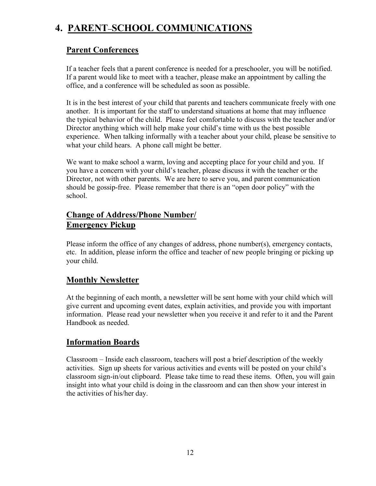# **4. PARENT–SCHOOL COMMUNICATIONS**

# **Parent Conferences**

If a teacher feels that a parent conference is needed for a preschooler, you will be notified. If a parent would like to meet with a teacher, please make an appointment by calling the office, and a conference will be scheduled as soon as possible.

It is in the best interest of your child that parents and teachers communicate freely with one another. It is important for the staff to understand situations at home that may influence the typical behavior of the child. Please feel comfortable to discuss with the teacher and/or Director anything which will help make your child's time with us the best possible experience. When talking informally with a teacher about your child, please be sensitive to what your child hears. A phone call might be better.

We want to make school a warm, loving and accepting place for your child and you. If you have a concern with your child's teacher, please discuss it with the teacher or the Director, not with other parents. We are here to serve you, and parent communication should be gossip-free. Please remember that there is an "open door policy" with the school.

# **Change of Address/Phone Number/ Emergency Pickup**

Please inform the office of any changes of address, phone number(s), emergency contacts, etc. In addition, please inform the office and teacher of new people bringing or picking up your child.

# **Monthly Newsletter**

At the beginning of each month, a newsletter will be sent home with your child which will give current and upcoming event dates, explain activities, and provide you with important information. Please read your newsletter when you receive it and refer to it and the Parent Handbook as needed.

# **Information Boards**

Classroom – Inside each classroom, teachers will post a brief description of the weekly activities. Sign up sheets for various activities and events will be posted on your child's classroom sign-in/out clipboard. Please take time to read these items. Often, you will gain insight into what your child is doing in the classroom and can then show your interest in the activities of his/her day.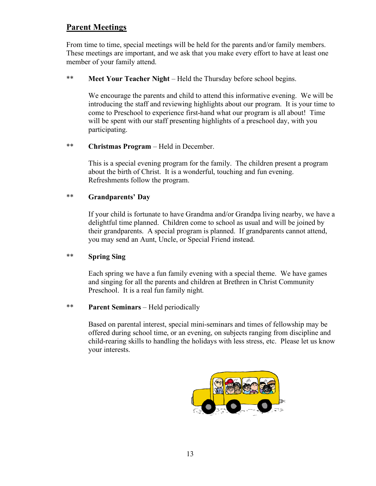# **Parent Meetings**

From time to time, special meetings will be held for the parents and/or family members. These meetings are important, and we ask that you make every effort to have at least one member of your family attend.

\*\* **Meet Your Teacher Night** – Held the Thursday before school begins.

We encourage the parents and child to attend this informative evening. We will be introducing the staff and reviewing highlights about our program. It is your time to come to Preschool to experience first-hand what our program is all about! Time will be spent with our staff presenting highlights of a preschool day, with you participating.

\*\* **Christmas Program** – Held in December.

This is a special evening program for the family. The children present a program about the birth of Christ. It is a wonderful, touching and fun evening. Refreshments follow the program.

#### \*\* **Grandparents' Day**

If your child is fortunate to have Grandma and/or Grandpa living nearby, we have a delightful time planned. Children come to school as usual and will be joined by their grandparents. A special program is planned. If grandparents cannot attend, you may send an Aunt, Uncle, or Special Friend instead.

#### \*\* **Spring Sing**

Each spring we have a fun family evening with a special theme. We have games and singing for all the parents and children at Brethren in Christ Community Preschool. It is a real fun family night.

#### \*\* **Parent Seminars** – Held periodically

Based on parental interest, special mini-seminars and times of fellowship may be offered during school time, or an evening, on subjects ranging from discipline and child-rearing skills to handling the holidays with less stress, etc. Please let us know your interests.

![](_page_15_Picture_12.jpeg)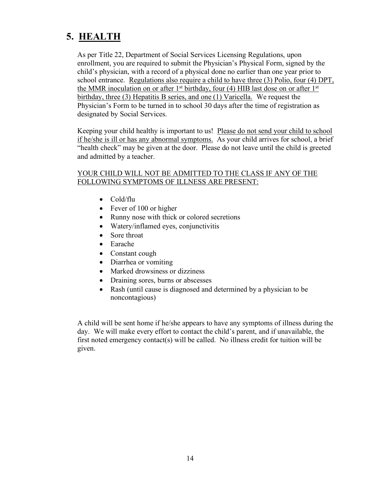# **5. HEALTH**

As per Title 22, Department of Social Services Licensing Regulations, upon enrollment, you are required to submit the Physician's Physical Form, signed by the child's physician, with a record of a physical done no earlier than one year prior to school entrance. Regulations also require a child to have three (3) Polio, four (4) DPT, the MMR inoculation on or after  $1<sup>st</sup>$  birthday, four (4) HIB last dose on or after  $1<sup>st</sup>$ birthday, three (3) Hepatitis B series, and one (1) Varicella. We request the Physician's Form to be turned in to school 30 days after the time of registration as designated by Social Services.

Keeping your child healthy is important to us! Please do not send your child to school if he/she is ill or has any abnormal symptoms. As your child arrives for school, a brief "health check" may be given at the door. Please do not leave until the child is greeted and admitted by a teacher.

#### YOUR CHILD WILL NOT BE ADMITTED TO THE CLASS IF ANY OF THE FOLLOWING SYMPTOMS OF ILLNESS ARE PRESENT:

- Cold/flu
- Fever of 100 or higher
- Runny nose with thick or colored secretions
- Watery/inflamed eyes, conjunctivitis
- Sore throat
- Earache
- Constant cough
- Diarrhea or vomiting
- Marked drowsiness or dizziness
- Draining sores, burns or abscesses
- Rash (until cause is diagnosed and determined by a physician to be noncontagious)

A child will be sent home if he/she appears to have any symptoms of illness during the day. We will make every effort to contact the child's parent, and if unavailable, the first noted emergency contact(s) will be called. No illness credit for tuition will be given.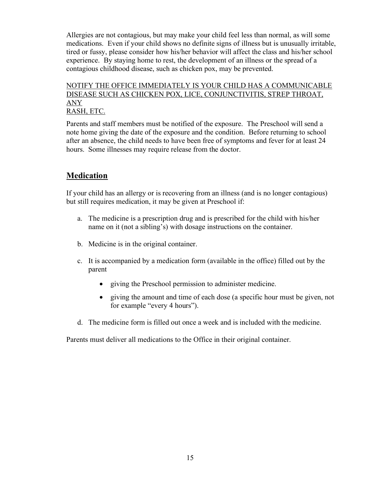Allergies are not contagious, but may make your child feel less than normal, as will some medications. Even if your child shows no definite signs of illness but is unusually irritable, tired or fussy, please consider how his/her behavior will affect the class and his/her school experience. By staying home to rest, the development of an illness or the spread of a contagious childhood disease, such as chicken pox, may be prevented.

#### NOTIFY THE OFFICE IMMEDIATELY IS YOUR CHILD HAS A COMMUNICABLE DISEASE SUCH AS CHICKEN POX, LICE, CONJUNCTIVITIS, STREP THROAT, ANY RASH, ETC.

Parents and staff members must be notified of the exposure. The Preschool will send a note home giving the date of the exposure and the condition. Before returning to school after an absence, the child needs to have been free of symptoms and fever for at least 24 hours. Some illnesses may require release from the doctor.

# **Medication**

If your child has an allergy or is recovering from an illness (and is no longer contagious) but still requires medication, it may be given at Preschool if:

- a. The medicine is a prescription drug and is prescribed for the child with his/her name on it (not a sibling's) with dosage instructions on the container.
- b. Medicine is in the original container.
- c. It is accompanied by a medication form (available in the office) filled out by the parent
	- giving the Preschool permission to administer medicine.
	- giving the amount and time of each dose (a specific hour must be given, not for example "every 4 hours").
- d. The medicine form is filled out once a week and is included with the medicine.

Parents must deliver all medications to the Office in their original container.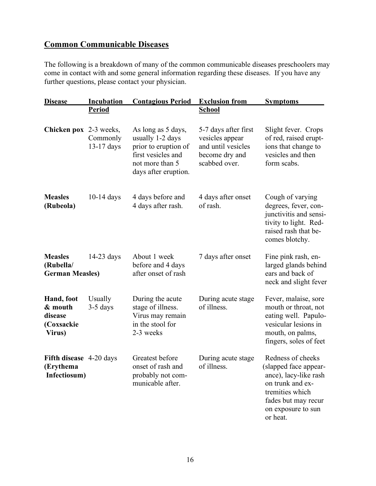# **Common Communicable Diseases**

The following is a breakdown of many of the common communicable diseases preschoolers may come in contact with and some general information regarding these diseases. If you have any further questions, please contact your physician.

| <b>Disease</b>                                           | <b>Incubation</b>      | <b>Contagious Period</b>                                                                                                        | <b>Exclusion from</b>                                                                            | <b>Symptoms</b>                                                                                                                                                     |
|----------------------------------------------------------|------------------------|---------------------------------------------------------------------------------------------------------------------------------|--------------------------------------------------------------------------------------------------|---------------------------------------------------------------------------------------------------------------------------------------------------------------------|
|                                                          | <b>Period</b>          |                                                                                                                                 | <b>School</b>                                                                                    |                                                                                                                                                                     |
| <b>Chicken pox</b> 2-3 weeks,                            | Commonly<br>13-17 days | As long as 5 days,<br>usually 1-2 days<br>prior to eruption of<br>first vesicles and<br>not more than 5<br>days after eruption. | 5-7 days after first<br>vesicles appear<br>and until vesicles<br>become dry and<br>scabbed over. | Slight fever. Crops<br>of red, raised erupt-<br>ions that change to<br>vesicles and then<br>form scabs.                                                             |
| <b>Measles</b><br>(Rubeola)                              | $10-14$ days           | 4 days before and<br>4 days after rash.                                                                                         | 4 days after onset<br>of rash.                                                                   | Cough of varying<br>degrees, fever, con-<br>junctivitis and sensi-<br>tivity to light. Red-<br>raised rash that be-<br>comes blotchy.                               |
| <b>Measles</b><br>(Rubella/<br><b>German Measles)</b>    | $14-23$ days           | About 1 week<br>before and 4 days<br>after onset of rash                                                                        | 7 days after onset                                                                               | Fine pink rash, en-<br>larged glands behind<br>ears and back of<br>neck and slight fever                                                                            |
| Hand, foot<br>& mouth<br>disease<br>(Coxsackie<br>Virus) | Usually<br>$3-5$ days  | During the acute<br>stage of illness.<br>Virus may remain<br>in the stool for<br>2-3 weeks                                      | During acute stage<br>of illness.                                                                | Fever, malaise, sore<br>mouth or throat, not<br>eating well. Papulo-<br>vesicular lesions in<br>mouth, on palms,<br>fingers, soles of feet                          |
| Fifth disease 4-20 days<br>(Erythema<br>Infectiosum)     |                        | Greatest before<br>onset of rash and<br>probably not com-<br>municable after.                                                   | During acute stage<br>of illness.                                                                | Redness of cheeks<br>(slapped face appear-<br>ance), lacy-like rash<br>on trunk and ex-<br>tremities which<br>fades but may recur<br>on exposure to sun<br>or heat. |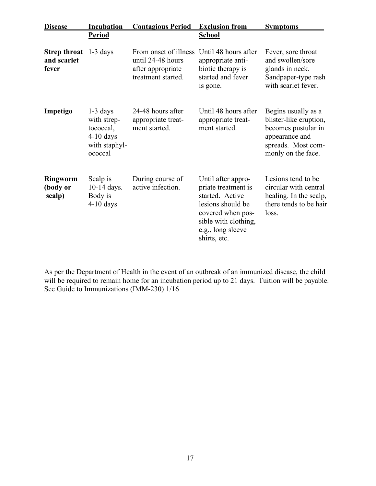| <b>Disease</b>                                       | <b>Incubation</b>                                                                 | <b>Contagious Period</b>                                                              | <b>Exclusion from</b>                                                                                                                                               | <b>Symptoms</b>                                                                                                                    |
|------------------------------------------------------|-----------------------------------------------------------------------------------|---------------------------------------------------------------------------------------|---------------------------------------------------------------------------------------------------------------------------------------------------------------------|------------------------------------------------------------------------------------------------------------------------------------|
|                                                      | <b>Period</b>                                                                     |                                                                                       | <b>School</b>                                                                                                                                                       |                                                                                                                                    |
| <b>Strep throat</b> 1-3 days<br>and scarlet<br>fever |                                                                                   | From onset of illness<br>until 24-48 hours<br>after appropriate<br>treatment started. | Until 48 hours after<br>appropriate anti-<br>biotic therapy is<br>started and fever<br>is gone.                                                                     | Fever, sore throat<br>and swollen/sore<br>glands in neck.<br>Sandpaper-type rash<br>with scarlet fever.                            |
| Impetigo                                             | $1-3$ days<br>with strep-<br>tococcal,<br>$4-10$ days<br>with staphyl-<br>ococcal | 24-48 hours after<br>appropriate treat-<br>ment started.                              | Until 48 hours after<br>appropriate treat-<br>ment started.                                                                                                         | Begins usually as a<br>blister-like eruption,<br>becomes pustular in<br>appearance and<br>spreads. Most com-<br>monly on the face. |
| <b>Ringworm</b><br>(body or<br>scalp)                | Scalp is<br>10-14 days.<br>Body is<br>$4-10$ days                                 | During course of<br>active infection.                                                 | Until after appro-<br>priate treatment is<br>started. Active<br>lesions should be<br>covered when pos-<br>sible with clothing,<br>e.g., long sleeve<br>shirts, etc. | Lesions tend to be<br>circular with central<br>healing. In the scalp,<br>there tends to be hair<br>loss.                           |

As per the Department of Health in the event of an outbreak of an immunized disease, the child will be required to remain home for an incubation period up to 21 days. Tuition will be payable. See Guide to Immunizations (IMM-230) 1/16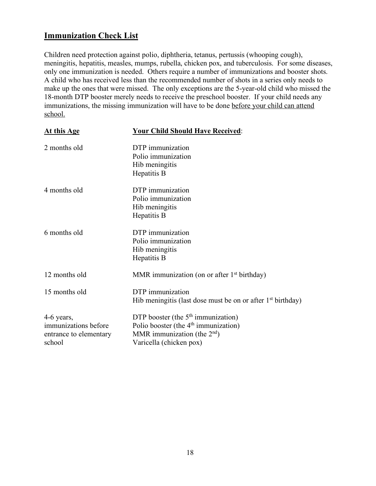# **Immunization Check List**

Children need protection against polio, diphtheria, tetanus, pertussis (whooping cough), meningitis, hepatitis, measles, mumps, rubella, chicken pox, and tuberculosis. For some diseases, only one immunization is needed. Others require a number of immunizations and booster shots. A child who has received less than the recommended number of shots in a series only needs to make up the ones that were missed. The only exceptions are the 5-year-old child who missed the 18-month DTP booster merely needs to receive the preschool booster. If your child needs any immunizations, the missing immunization will have to be done before your child can attend school.

| At this Age                                                            | <b>Your Child Should Have Received:</b>                                                                                                    |
|------------------------------------------------------------------------|--------------------------------------------------------------------------------------------------------------------------------------------|
| 2 months old                                                           | DTP immunization<br>Polio immunization<br>Hib meningitis<br>Hepatitis B                                                                    |
| 4 months old                                                           | DTP immunization<br>Polio immunization<br>Hib meningitis<br>Hepatitis B                                                                    |
| 6 months old                                                           | DTP immunization<br>Polio immunization<br>Hib meningitis<br>Hepatitis B                                                                    |
| 12 months old                                                          | MMR immunization (on or after $1st$ birthday)                                                                                              |
| 15 months old                                                          | DTP immunization<br>Hib meningitis (last dose must be on or after $1st$ birthday)                                                          |
| 4-6 years,<br>immunizations before<br>entrance to elementary<br>school | DTP booster (the $5th$ immunization)<br>Polio booster (the $4th$ immunization)<br>MMR immunization (the $2nd$ )<br>Varicella (chicken pox) |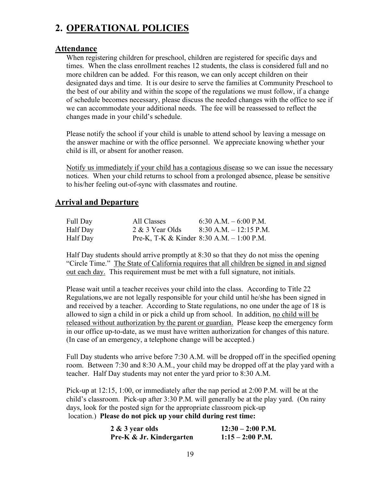# **2. OPERATIONAL POLICIES**

## **Attendance**

When registering children for preschool, children are registered for specific days and times. When the class enrollment reaches 12 students, the class is considered full and no more children can be added. For this reason, we can only accept children on their designated days and time. It is our desire to serve the families at Community Preschool to the best of our ability and within the scope of the regulations we must follow, if a change of schedule becomes necessary, please discuss the needed changes with the office to see if we can accommodate your additional needs. The fee will be reassessed to reflect the changes made in your child's schedule.

Please notify the school if your child is unable to attend school by leaving a message on the answer machine or with the office personnel. We appreciate knowing whether your child is ill, or absent for another reason.

Notify us immediately if your child has a contagious disease so we can issue the necessary notices. When your child returns to school from a prolonged absence, please be sensitive to his/her feeling out-of-sync with classmates and routine.

# **Arrival and Departure**

| Full Day | All Classes     | $6:30$ A.M. $-6:00$ P.M.                    |
|----------|-----------------|---------------------------------------------|
| Half Day | 2 & 3 Year Olds | $8:30$ A.M. $-12:15$ P.M.                   |
| Half Day |                 | Pre-K, T-K & Kinder 8:30 A.M. $- 1:00$ P.M. |

Half Day students should arrive promptly at 8:30 so that they do not miss the opening "Circle Time." The State of California requires that all children be signed in and signed out each day. This requirement must be met with a full signature, not initials.

Please wait until a teacher receives your child into the class. According to Title 22 Regulations,we are not legally responsible for your child until he/she has been signed in and received by a teacher. According to State regulations, no one under the age of 18 is allowed to sign a child in or pick a child up from school. In addition, no child will be released without authorization by the parent or guardian. Please keep the emergency form in our office up-to-date, as we must have written authorization for changes of this nature. (In case of an emergency, a telephone change will be accepted.)

Full Day students who arrive before 7:30 A.M. will be dropped off in the specified opening room. Between 7:30 and 8:30 A.M., your child may be dropped off at the play yard with a teacher. Half Day students may not enter the yard prior to 8:30 A.M.

Pick-up at 12:15, 1:00, or immediately after the nap period at 2:00 P.M. will be at the child's classroom. Pick-up after 3:30 P.M. will generally be at the play yard. (On rainy days, look for the posted sign for the appropriate classroom pick-up location.) **Please do not pick up your child during rest time:**

| 2 & 3 year olds          | $12:30 - 2:00$ P.M. |
|--------------------------|---------------------|
| Pre-K & Jr. Kindergarten | $1:15-2:00$ P.M.    |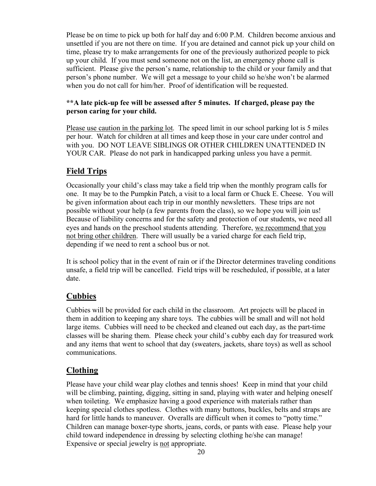Please be on time to pick up both for half day and 6:00 P.M. Children become anxious and unsettled if you are not there on time. If you are detained and cannot pick up your child on time, please try to make arrangements for one of the previously authorized people to pick up your child. If you must send someone not on the list, an emergency phone call is sufficient. Please give the person's name, relationship to the child or your family and that person's phone number. We will get a message to your child so he/she won't be alarmed when you do not call for him/her. Proof of identification will be requested.

#### **\*\*A late pick-up fee will be assessed after 5 minutes. If charged, please pay the person caring for your child.**

Please use caution in the parking lot. The speed limit in our school parking lot is 5 miles per hour. Watch for children at all times and keep those in your care under control and with you. DO NOT LEAVE SIBLINGS OR OTHER CHILDREN UNATTENDED IN YOUR CAR. Please do not park in handicapped parking unless you have a permit.

# **Field Trips**

Occasionally your child's class may take a field trip when the monthly program calls for one. It may be to the Pumpkin Patch, a visit to a local farm or Chuck E. Cheese. You will be given information about each trip in our monthly newsletters. These trips are not possible without your help (a few parents from the class), so we hope you will join us! Because of liability concerns and for the safety and protection of our students, we need all eyes and hands on the preschool students attending. Therefore, we recommend that you not bring other children. There will usually be a varied charge for each field trip, depending if we need to rent a school bus or not.

It is school policy that in the event of rain or if the Director determines traveling conditions unsafe, a field trip will be cancelled. Field trips will be rescheduled, if possible, at a later date.

# **Cubbies**

Cubbies will be provided for each child in the classroom. Art projects will be placed in them in addition to keeping any share toys. The cubbies will be small and will not hold large items. Cubbies will need to be checked and cleaned out each day, as the part-time classes will be sharing them. Please check your child's cubby each day for treasured work and any items that went to school that day (sweaters, jackets, share toys) as well as school communications.

# **Clothing**

Please have your child wear play clothes and tennis shoes! Keep in mind that your child will be climbing, painting, digging, sitting in sand, playing with water and helping oneself when toileting. We emphasize having a good experience with materials rather than keeping special clothes spotless. Clothes with many buttons, buckles, belts and straps are hard for little hands to maneuver. Overalls are difficult when it comes to "potty time." Children can manage boxer-type shorts, jeans, cords, or pants with ease. Please help your child toward independence in dressing by selecting clothing he/she can manage! Expensive or special jewelry is not appropriate.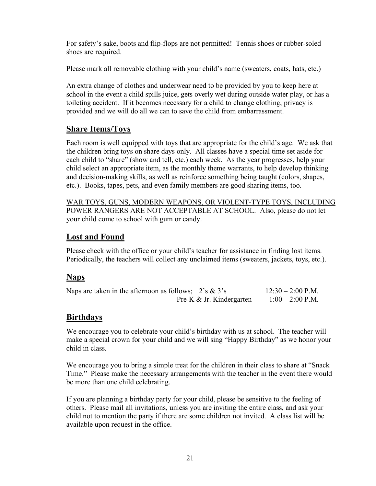For safety's sake, boots and flip-flops are not permitted! Tennis shoes or rubber-soled shoes are required.

Please mark all removable clothing with your child's name (sweaters, coats, hats, etc.)

An extra change of clothes and underwear need to be provided by you to keep here at school in the event a child spills juice, gets overly wet during outside water play, or has a toileting accident. If it becomes necessary for a child to change clothing, privacy is provided and we will do all we can to save the child from embarrassment.

# **Share Items/Toys**

Each room is well equipped with toys that are appropriate for the child's age. We ask that the children bring toys on share days only. All classes have a special time set aside for each child to "share" (show and tell, etc.) each week. As the year progresses, help your child select an appropriate item, as the monthly theme warrants, to help develop thinking and decision-making skills, as well as reinforce something being taught (colors, shapes, etc.). Books, tapes, pets, and even family members are good sharing items, too.

WAR TOYS, GUNS, MODERN WEAPONS, OR VIOLENT-TYPE TOYS, INCLUDING POWER RANGERS ARE NOT ACCEPTABLE AT SCHOOL. Also, please do not let your child come to school with gum or candy.

# **Lost and Found**

Please check with the office or your child's teacher for assistance in finding lost items. Periodically, the teachers will collect any unclaimed items (sweaters, jackets, toys, etc.).

# **Naps**

| Naps are taken in the afternoon as follows; $2's \& 3's$ |                          | $12:30 - 2:00$ P.M. |
|----------------------------------------------------------|--------------------------|---------------------|
|                                                          | Pre-K & Jr. Kindergarten | $1:00-2:00$ P.M.    |

# **Birthdays**

We encourage you to celebrate your child's birthday with us at school. The teacher will make a special crown for your child and we will sing "Happy Birthday" as we honor your child in class.

We encourage you to bring a simple treat for the children in their class to share at "Snack Time." Please make the necessary arrangements with the teacher in the event there would be more than one child celebrating.

If you are planning a birthday party for your child, please be sensitive to the feeling of others. Please mail all invitations, unless you are inviting the entire class, and ask your child not to mention the party if there are some children not invited. A class list will be available upon request in the office.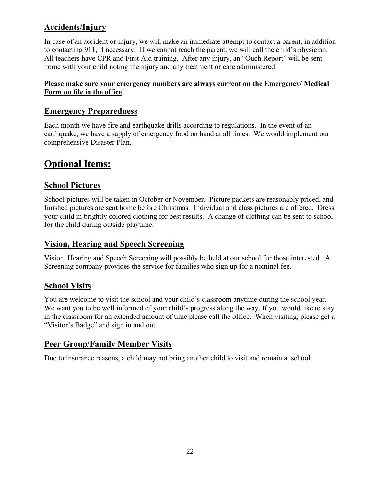# **Accidents/Injury**

In case of an accident or injury, we will make an immediate attempt to contact a parent, in addition to contacting 911, if necessary. If we cannot reach the parent, we will call the child's physician. All teachers have CPR and First Aid training. After any injury, an "Ouch Report" will be sent home with your child noting the injury and any treatment or care administered.

### **Please make sure your emergency numbers are always current on the Emergency/ Medical Form on file in the office!**

# **Emergency Preparedness**

Each month we have fire and earthquake drills according to regulations. In the event of an earthquake, we have a supply of emergency food on hand at all times. We would implement our comprehensive Disaster Plan.

# **Optional Items:**

## **School Pictures**

School pictures will be taken in October or November. Picture packets are reasonably priced, and finished pictures are sent home before Christmas. Individual and class pictures are offered. Dress your child in brightly colored clothing for best results. A change of clothing can be sent to school for the child during outside playtime.

## **Vision, Hearing and Speech Screening**

Vision, Hearing and Speech Screening will possibly be held at our school for those interested. A Screening company provides the service for families who sign up for a nominal fee.

# **School Visits**

You are welcome to visit the school and your child's classroom anytime during the school year. We want you to be well informed of your child's progress along the way. If you would like to stay in the classroom for an extended amount of time please call the office. When visiting, please get a "Visitor's Badge" and sign in and out.

# **Peer Group/Family Member Visits**

Due to insurance reasons, a child may not bring another child to visit and remain at school.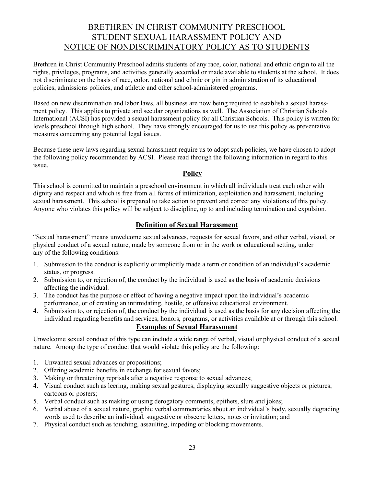# BRETHREN IN CHRIST COMMUNITY PRESCHOOL STUDENT SEXUAL HARASSMENT POLICY AND NOTICE OF NONDISCRIMINATORY POLICY AS TO STUDENTS

Brethren in Christ Community Preschool admits students of any race, color, national and ethnic origin to all the rights, privileges, programs, and activities generally accorded or made available to students at the school. It does not discriminate on the basis of race, color, national and ethnic origin in administration of its educational policies, admissions policies, and athletic and other school-administered programs.

Based on new discrimination and labor laws, all business are now being required to establish a sexual harassment policy. This applies to private and secular organizations as well. The Association of Christian Schools International (ACSI) has provided a sexual harassment policy for all Christian Schools. This policy is written for levels preschool through high school. They have strongly encouraged for us to use this policy as preventative measures concerning any potential legal issues.

Because these new laws regarding sexual harassment require us to adopt such policies, we have chosen to adopt the following policy recommended by ACSI. Please read through the following information in regard to this issue.

#### **Policy**

This school is committed to maintain a preschool environment in which all individuals treat each other with dignity and respect and which is free from all forms of intimidation, exploitation and harassment, including sexual harassment. This school is prepared to take action to prevent and correct any violations of this policy. Anyone who violates this policy will be subject to discipline, up to and including termination and expulsion.

#### **Definition of Sexual Harassment**

"Sexual harassment" means unwelcome sexual advances, requests for sexual favors, and other verbal, visual, or physical conduct of a sexual nature, made by someone from or in the work or educational setting, under any of the following conditions:

- 1. Submission to the conduct is explicitly or implicitly made a term or condition of an individual's academic status, or progress.
- 2. Submission to, or rejection of, the conduct by the individual is used as the basis of academic decisions affecting the individual.
- 3. The conduct has the purpose or effect of having a negative impact upon the individual's academic performance, or of creating an intimidating, hostile, or offensive educational environment.
- 4. Submission to, or rejection of, the conduct by the individual is used as the basis for any decision affecting the individual regarding benefits and services, honors, programs, or activities available at or through this school.

#### **Examples of Sexual Harassment**

Unwelcome sexual conduct of this type can include a wide range of verbal, visual or physical conduct of a sexual nature. Among the type of conduct that would violate this policy are the following:

- 1. Unwanted sexual advances or propositions;
- 2. Offering academic benefits in exchange for sexual favors;
- 3. Making or threatening reprisals after a negative response to sexual advances;
- 4. Visual conduct such as leering, making sexual gestures, displaying sexually suggestive objects or pictures, cartoons or posters;
- 5. Verbal conduct such as making or using derogatory comments, epithets, slurs and jokes;
- 6. Verbal abuse of a sexual nature, graphic verbal commentaries about an individual's body, sexually degrading words used to describe an individual, suggestive or obscene letters, notes or invitation; and
- 7. Physical conduct such as touching, assaulting, impeding or blocking movements.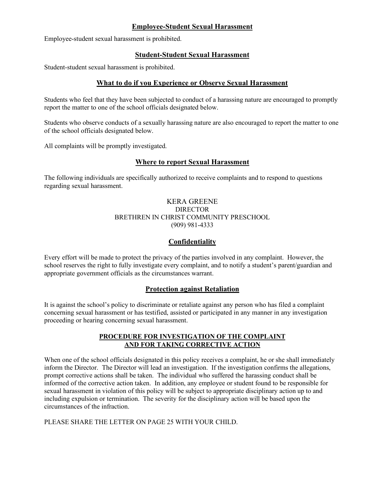#### **Employee-Student Sexual Harassment**

Employee-student sexual harassment is prohibited.

#### **Student-Student Sexual Harassment**

Student-student sexual harassment is prohibited.

#### **What to do if you Experience or Observe Sexual Harassment**

Students who feel that they have been subjected to conduct of a harassing nature are encouraged to promptly report the matter to one of the school officials designated below.

Students who observe conducts of a sexually harassing nature are also encouraged to report the matter to one of the school officials designated below.

All complaints will be promptly investigated.

#### **Where to report Sexual Harassment**

The following individuals are specifically authorized to receive complaints and to respond to questions regarding sexual harassment.

#### KERA GREENE DIRECTOR BRETHREN IN CHRIST COMMUNITY PRESCHOOL (909) 981-4333

#### **Confidentiality**

Every effort will be made to protect the privacy of the parties involved in any complaint. However, the school reserves the right to fully investigate every complaint, and to notify a student's parent/guardian and appropriate government officials as the circumstances warrant.

#### **Protection against Retaliation**

It is against the school's policy to discriminate or retaliate against any person who has filed a complaint concerning sexual harassment or has testified, assisted or participated in any manner in any investigation proceeding or hearing concerning sexual harassment.

#### **PROCEDURE FOR INVESTIGATION OF THE COMPLAINT AND FOR TAKING CORRECTIVE ACTION**

When one of the school officials designated in this policy receives a complaint, he or she shall immediately inform the Director. The Director will lead an investigation. If the investigation confirms the allegations, prompt corrective actions shall be taken. The individual who suffered the harassing conduct shall be informed of the corrective action taken. In addition, any employee or student found to be responsible for sexual harassment in violation of this policy will be subject to appropriate disciplinary action up to and including expulsion or termination. The severity for the disciplinary action will be based upon the circumstances of the infraction.

PLEASE SHARE THE LETTER ON PAGE 25 WITH YOUR CHILD.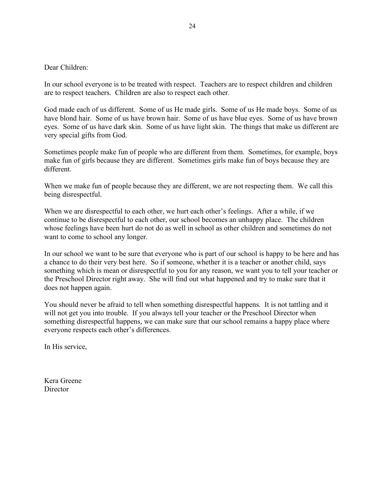Dear Children:

In our school everyone is to be treated with respect. Teachers are to respect children and children are to respect teachers. Children are also to respect each other.

God made each of us different. Some of us He made girls. Some of us He made boys. Some of us have blond hair. Some of us have brown hair. Some of us have blue eyes. Some of us have brown eyes. Some of us have dark skin. Some of us have light skin. The things that make us different are very special gifts from God.

Sometimes people make fun of people who are different from them. Sometimes, for example, boys make fun of girls because they are different. Sometimes girls make fun of boys because they are different.

When we make fun of people because they are different, we are not respecting them. We call this being disrespectful.

When we are disrespectful to each other, we hurt each other's feelings. After a while, if we continue to be disrespectful to each other, our school becomes an unhappy place. The children whose feelings have been hurt do not do as well in school as other children and sometimes do not want to come to school any longer.

In our school we want to be sure that everyone who is part of our school is happy to be here and has a chance to do their very best here. So if someone, whether it is a teacher or another child, says something which is mean or disrespectful to you for any reason, we want you to tell your teacher or the Preschool Director right away. She will find out what happened and try to make sure that it does not happen again.

You should never be afraid to tell when something disrespectful happens. It is not tattling and it will not get you into trouble. If you always tell your teacher or the Preschool Director when something disrespectful happens, we can make sure that our school remains a happy place where everyone respects each other's differences.

In His service,

Kera Greene **Director**